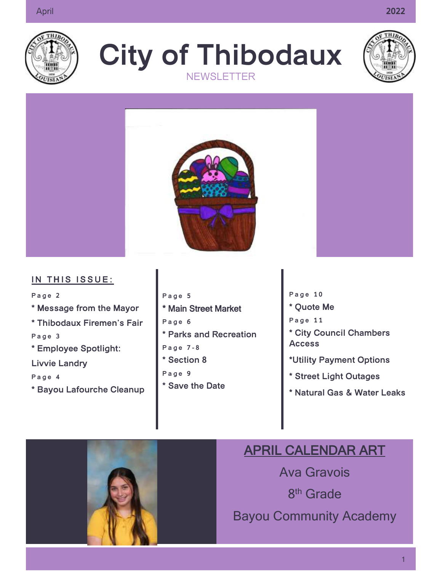

**City of Thibodaux NEWSLETTER** 





#### **IN THIS ISSUE:**

Page 2 **\* Message from the Mayor \* Thibodaux Firemen's Fair**

Page 3

**\* Employee Spotlight:**

**Livvie Landry**

**P a g e 4**

- **\* Bayou Lafourche Cleanup**
- **P a g e 5** \* Main Street Market **P a g e 6 \* Parks and Recreation P a g e 7 - 8 \* Section 8 P a g e 9 \* Save the Date**

[Grab your reader's attention  $\cdots$ great

quote from

document or use this

the

- **P a g e 1 0**
- **\* Quote Me**
- **P a g e 1 1**
- **\* City Council Chambers Access**
- **\*Utility Payment Options**
- **\* Street Light Outages**
- **\* Natural Gas & Water Leaks**

## APRIL CALENDAR ART

Ava Gravois 8<sup>th</sup> Grade Bayou Community Academy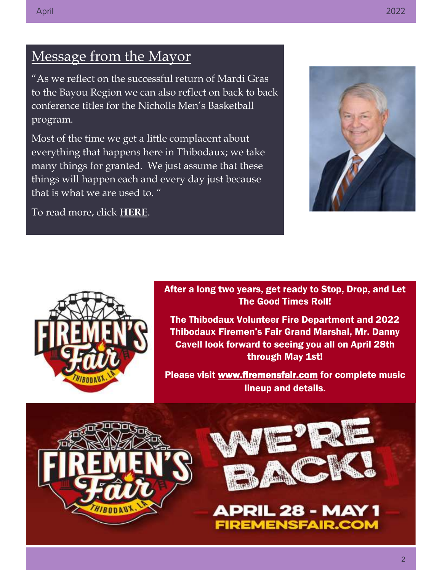### Message from the Mayor

"As we reflect on the successful return of Mardi Gras to the Bayou Region we can also reflect on back to back conference titles for the Nicholls Men's Basketball program.

Most of the time we get a little complacent about everything that happens here in Thibodaux; we take many things for granted. We just assume that these things will happen each and every day just because that is what we are used to. "

To read more, click **[HERE](https://www.ci.thibodaux.la.us/forms/departments/marketing/linked_files/CHAMBER%20INSIGHT%20APRIL%202022.pdf)**.





After a long two years, get ready to Stop, Drop, and Let The Good Times Roll!

The Thibodaux Volunteer Fire Department and 2022 Thibodaux Firemen's Fair Grand Marshal, Mr. Danny Cavell look forward to seeing you all on April 28th through May 1st!

Please visit [www.firemensfair.com](http://www.firemensfair.com/) for complete music lineup and details.





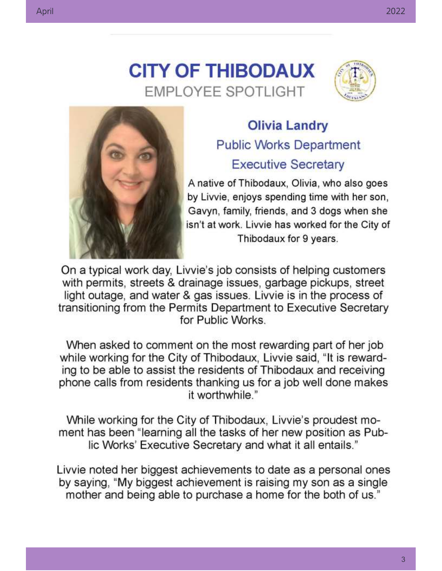



## **Olivia Landry Public Works Department Executive Secretary**

A native of Thibodaux, Olivia, who also goes by Livvie, enjoys spending time with her son, Gavyn, family, friends, and 3 dogs when she isn't at work. Livvie has worked for the City of Thibodaux for 9 years.

On a typical work day, Livvie's job consists of helping customers with permits, streets & drainage issues, garbage pickups, street light outage, and water & gas issues. Livvie is in the process of transitioning from the Permits Department to Executive Secretary for Public Works.

When asked to comment on the most rewarding part of her job while working for the City of Thibodaux, Livvie said, "It is rewarding to be able to assist the residents of Thibodaux and receiving phone calls from residents thanking us for a job well done makes it worthwhile."

While working for the City of Thibodaux, Livvie's proudest moment has been "learning all the tasks of her new position as Public Works' Executive Secretary and what it all entails."

Livvie noted her biggest achievements to date as a personal ones by saying, "My biggest achievement is raising my son as a single mother and being able to purchase a home for the both of us."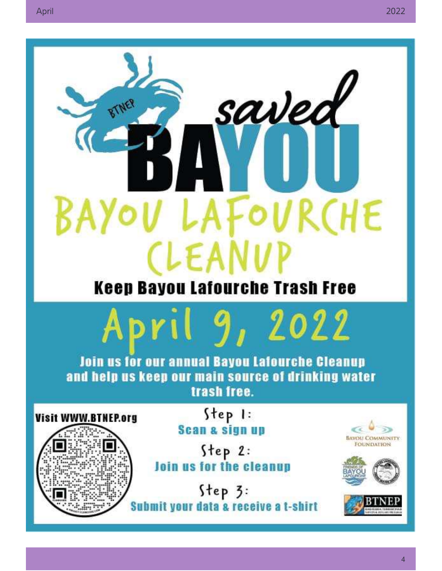

# **Keep Bayou Lafourche Trash Free**



**Join us for our annual Bayou Lafourche Cleanup** and help us keep our main source of drinking water trash free.

Visit WWW.BTNEP.org

Step 1: **Scan & sign up** 

 $Step 2:$ Join us for the cleanup

Step 3: it your data a receive a t-shirt Sub





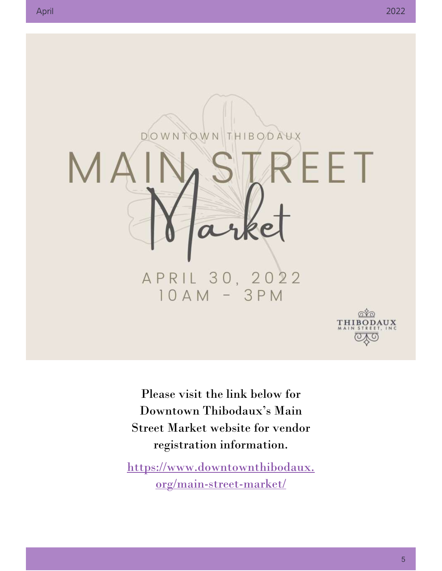

Please visit the link below for Downtown Thibodaux's Main Street Market website for vendor registration information.

[https://www.downtownthibodaux.](https://www.downtownthibodaux.org/main-street-market/) [org/main-street-market/](https://www.downtownthibodaux.org/main-street-market/)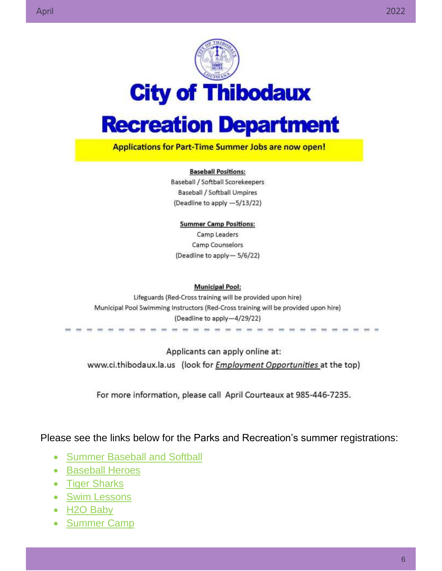



# **Recreation Department**

**Applications for Part-Time Summer Jobs are now open!** 

#### **Baseball Positions:**

Baseball / Softball Scorekeepers **Baseball / Softball Umpires** (Deadline to apply -5/13/22)

**Summer Camp Positions:** Camp Leaders Camp Counselors (Deadline to apply- 5/6/22)

#### **Municipal Pool:**

Lifeguards (Red-Cross training will be provided upon hire) Municipal Pool Swimming Instructors (Red-Cross training will be provided upon hire) (Deadline to apply-4/29/22)

Applicants can apply online at: www.ci.thibodaux.la.us (look for *Employment Opportunities* at the top)

For more information, please call April Courteaux at 985-446-7235.

Please see the links below for the Parks and Recreation's summer registrations:

- [Summer Baseball](https://www.ci.thibodaux.la.us/forms/departments/pr/Youth%20Programs/Baseball/Flyer%202022.pdf) and Softball
- **[Baseball Heroes](https://www.ci.thibodaux.la.us/forms/departments/pr/Special%20Needs%20Programs/Baseball%20Heros/Baseball%20Heroes%20Flyer.pdf)**
- [Tiger Sharks](https://www.ci.thibodaux.la.us/forms/departments/pr/Pool/Tiger%20Sharks/Tiger%20Shark%20Registration.pdf)
- [Swim Lessons](https://www.ci.thibodaux.la.us/forms/departments/pr/Pool/Swim%20Lessons/Swimming%20Lesson%20Flyer%202022.pdf)
- [H2O Baby](https://www.ci.thibodaux.la.us/forms/departments/pr/Pool/H2O%20Baby/H2OH%20BABY%20Water%20Class%202022.pdf)
- [Summer Camp](https://www.ci.thibodaux.la.us/forms/departments/pr/Youth%20Programs/Summer%20Camp/Summer%20Camp%20Registration%20Packet.pdf)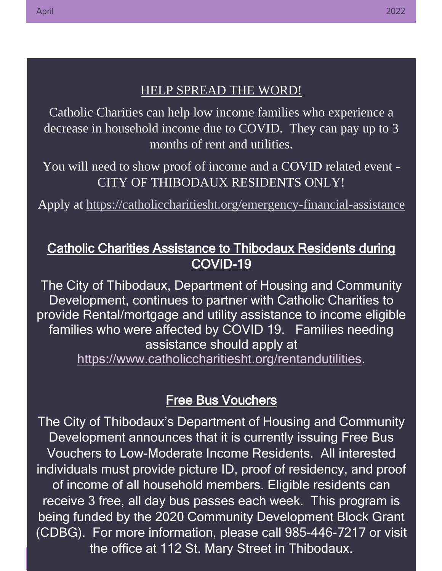#### HELP SPREAD THE WORD!

Catholic Charities can help low income families who experience a decrease in household income due to COVID. They can pay up to 3 months of rent and utilities.

You will need to show proof of income and a COVID related event - CITY OF THIBODAUX RESIDENTS ONLY!

Apply at <https://catholiccharitiesht.org/emergency-financial-assistance>

#### Catholic Charities Assistance to Thibodaux Residents during COVID-19

The City of Thibodaux, Department of Housing and Community Development, continues to partner with Catholic Charities to provide Rental/mortgage and utility assistance to income eligible families who were affected by COVID 19. Families needing assistance should apply at [https://www.catholiccharitiesht.org/rentandutilities.](https://www.catholiccharitiesht.org/rentandutilities)

#### Free Bus Vouchers

The City of Thibodaux's Department of Housing and Community Development announces that it is currently issuing Free Bus Vouchers to Low-Moderate Income Residents. All interested individuals must provide picture ID, proof of residency, and proof of income of all household members. Eligible residents can receive 3 free, all day bus passes each week. This program is being funded by the 2020 Community Development Block Grant (CDBG). For more information, please call 985-446-7217 or visit the office at 112 St. Mary Street in Thibodaux.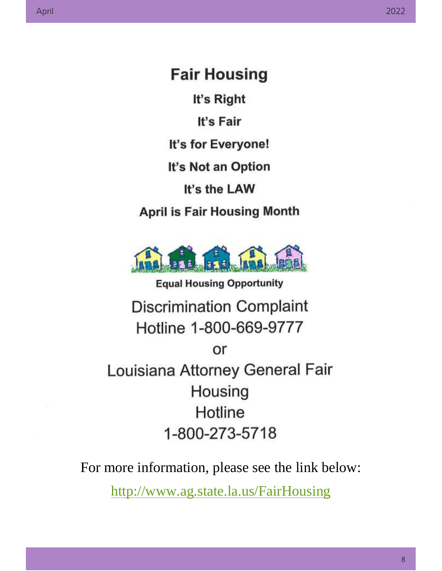**Fair Housing** It's Right It's Fair It's for Everyone! It's Not an Option It's the LAW **April is Fair Housing Month** 



**Equal Housing Opportunity Discrimination Complaint** Hotline 1-800-669-9777 or Louisiana Attorney General Fair Housing Hotline 1-800-273-5718

For more information, please see the link below:

<http://www.ag.state.la.us/FairHousing>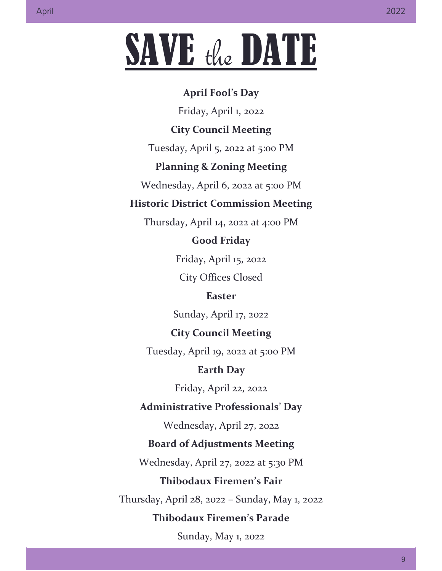# SAVE the DATE

#### **April Fool's Day**

Friday, April 1, 2022

#### **City Council Meeting**

Tuesday, April 5, 2022 at 5:00 PM

#### **Planning & Zoning Meeting**

Wednesday, April 6, 2022 at 5:00 PM

#### **Historic District Commission Meeting**

Thursday, April 14, 2022 at 4:00 PM

#### **Good Friday**

Friday, April 15, 2022 City Offices Closed

#### **Easter**

Sunday, April 17, 2022

#### **City Council Meeting**

Tuesday, April 19, 2022 at 5:00 PM

#### **Earth Day**

Friday, April 22, 2022

#### **Administrative Professionals' Day**

Wednesday, April 27, 2022

#### **Board of Adjustments Meeting**

Wednesday, April 27, 2022 at 5:30 PM

#### **Thibodaux Firemen's Fair**

Thursday, April 28, 2022 – Sunday, May 1, 2022

#### **Thibodaux Firemen's Parade**

Sunday, May 1, 2022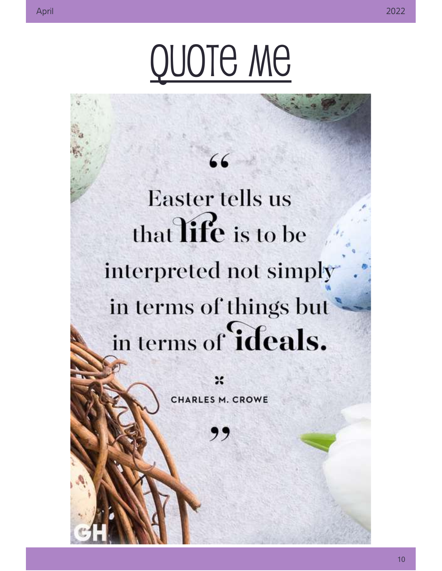66 **Easter tells us** that  $\overline{\textbf{life}}$  is to be interpreted not simply in terms of things but in terms of **ideals.** 

CHARLES M. CROWE

,,